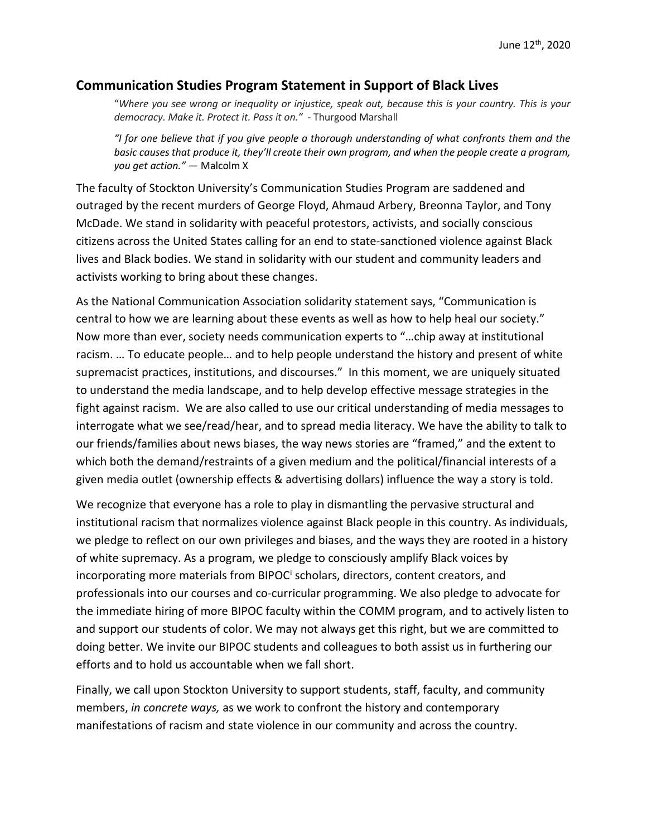## **Communication Studies Program Statement in Support of Black Lives**

"*Where you see wrong or inequality or injustice, speak out, because this is your country. This is your democracy. Make it. Protect it. Pass it on."* - Thurgood Marshall

*"I for one believe that if you give people a thorough understanding of what confronts them and the basic causes that produce it, they'll create their own program, and when the people create a program, you get action."* — Malcolm X

The faculty of Stockton University's Communication Studies Program are saddened and outraged by the recent murders of George Floyd, Ahmaud Arbery, Breonna Taylor, and Tony McDade. We stand in solidarity with peaceful protestors, activists, and socially conscious citizens across the United States calling for an end to state-sanctioned violence against Black lives and Black bodies. We stand in solidarity with our student and community leaders and activists working to bring about these changes.

As the National Communication Association solidarity statement says, "Communication is central to how we are learning about these events as well as how to help heal our society." Now more than ever, society needs communication experts to "…chip away at institutional racism. … To educate people… and to help people understand the history and present of white supremacist practices, institutions, and discourses." In this moment, we are uniquely situated to understand the media landscape, and to help develop effective message strategies in the fight against racism. We are also called to use our critical understanding of media messages to interrogate what we see/read/hear, and to spread media literacy. We have the ability to talk to our friends/families about news biases, the way news stories are "framed," and the extent to which both the demand/restraints of a given medium and the political/financial interests of a given media outlet (ownership effects & advertising dollars) influence the way a story is told.

We recognize that everyone has a role to play in dismantling the pervasive structural and institutional racism that normalizes violence against Black people in this country. As individuals, we pledge to reflect on our own privileges and biases, and the ways they are rooted in a history of white supremacy. As a program, we pledge to consciously amplify Black voices by [i](#page-1-0)ncorporating more materials from BIPOC<sup>i</sup> scholars, directors, content creators, and professionals into our courses and co-curricular programming. We also pledge to advocate for the immediate hiring of more BIPOC faculty within the COMM program, and to actively listen to and support our students of color. We may not always get this right, but we are committed to doing better. We invite our BIPOC students and colleagues to both assist us in furthering our efforts and to hold us accountable when we fall short.

Finally, we call upon Stockton University to support students, staff, faculty, and community members, *in concrete ways,* as we work to confront the history and contemporary manifestations of racism and state violence in our community and across the country.